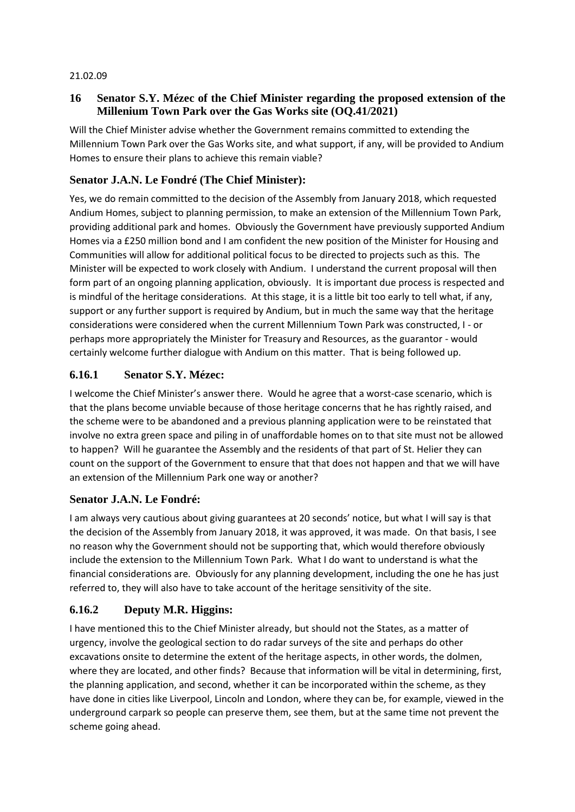#### 21.02.09

## **16 Senator S.Y. Mézec of the Chief Minister regarding the proposed extension of the Millenium Town Park over the Gas Works site (OQ.41/2021)**

Will the Chief Minister advise whether the Government remains committed to extending the Millennium Town Park over the Gas Works site, and what support, if any, will be provided to Andium Homes to ensure their plans to achieve this remain viable?

# **Senator J.A.N. Le Fondré (The Chief Minister):**

Yes, we do remain committed to the decision of the Assembly from January 2018, which requested Andium Homes, subject to planning permission, to make an extension of the Millennium Town Park, providing additional park and homes. Obviously the Government have previously supported Andium Homes via a £250 million bond and I am confident the new position of the Minister for Housing and Communities will allow for additional political focus to be directed to projects such as this. The Minister will be expected to work closely with Andium. I understand the current proposal will then form part of an ongoing planning application, obviously. It is important due process is respected and is mindful of the heritage considerations. At this stage, it is a little bit too early to tell what, if any, support or any further support is required by Andium, but in much the same way that the heritage considerations were considered when the current Millennium Town Park was constructed, I - or perhaps more appropriately the Minister for Treasury and Resources, as the guarantor - would certainly welcome further dialogue with Andium on this matter. That is being followed up.

# **6.16.1 Senator S.Y. Mézec:**

I welcome the Chief Minister's answer there. Would he agree that a worst-case scenario, which is that the plans become unviable because of those heritage concerns that he has rightly raised, and the scheme were to be abandoned and a previous planning application were to be reinstated that involve no extra green space and piling in of unaffordable homes on to that site must not be allowed to happen? Will he guarantee the Assembly and the residents of that part of St. Helier they can count on the support of the Government to ensure that that does not happen and that we will have an extension of the Millennium Park one way or another?

### **Senator J.A.N. Le Fondré:**

I am always very cautious about giving guarantees at 20 seconds' notice, but what I will say is that the decision of the Assembly from January 2018, it was approved, it was made. On that basis, I see no reason why the Government should not be supporting that, which would therefore obviously include the extension to the Millennium Town Park. What I do want to understand is what the financial considerations are. Obviously for any planning development, including the one he has just referred to, they will also have to take account of the heritage sensitivity of the site.

# **6.16.2 Deputy M.R. Higgins:**

I have mentioned this to the Chief Minister already, but should not the States, as a matter of urgency, involve the geological section to do radar surveys of the site and perhaps do other excavations onsite to determine the extent of the heritage aspects, in other words, the dolmen, where they are located, and other finds? Because that information will be vital in determining, first, the planning application, and second, whether it can be incorporated within the scheme, as they have done in cities like Liverpool, Lincoln and London, where they can be, for example, viewed in the underground carpark so people can preserve them, see them, but at the same time not prevent the scheme going ahead.